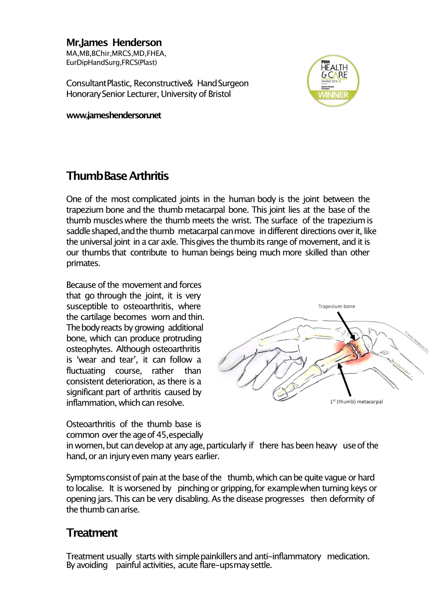**Mr.James Henderson** MA,MB,BChir,MRCS,MD,FHEA, EurDipHandSurg,FRCS(Plast)

ConsultantPlastic, Reconstructive& HandSurgeon Honorary Senior Lecturer, University of Bristol

**www.jameshenderson.net**



## **ThumbBaseArthritis**

One of the most complicated joints in the human body is the joint between the trapezium bone and the thumb metacarpal bone. This joint lies at the base of the thumb muscleswhere the thumb meets the wrist. The surface of the trapeziumis saddle shaped, and the thumb metacarpal can move in different directions over it, like the universal joint in a car axle. This gives the thumb its range of movement, and it is our thumbs that contribute to human beings being much more skilled than other primates.

Because of the movement and forces that go through the joint, it is very susceptible to osteoarthritis, where the cartilage becomes worn and thin. The body reacts by growing additional bone, which can produce protruding osteophytes. Although osteoarthritis is ʻwear and tear', it can follow a fluctuating course, rather than consistent deterioration, as there is a significant part of arthritis caused by inflammation, which can resolve.

Osteoarthritis of the thumb base is common over the age of 45, especially



in women, but can develop at any age, particularly if there has been heavy use of the hand, or an injury even many years earlier.

Symptoms consist of pain at the base of the thumb, which can be quite vague or hard to localise. It is worsened by pinching or gripping, for example when turning keys or opening jars. This can be very disabling. As the disease progresses then deformity of the thumb can arise.

## **Treatment**

Treatment usually starts with simplepainkillersand anti-inflammatory medication. By avoiding painful activities, acute flare-upsmaysettle.